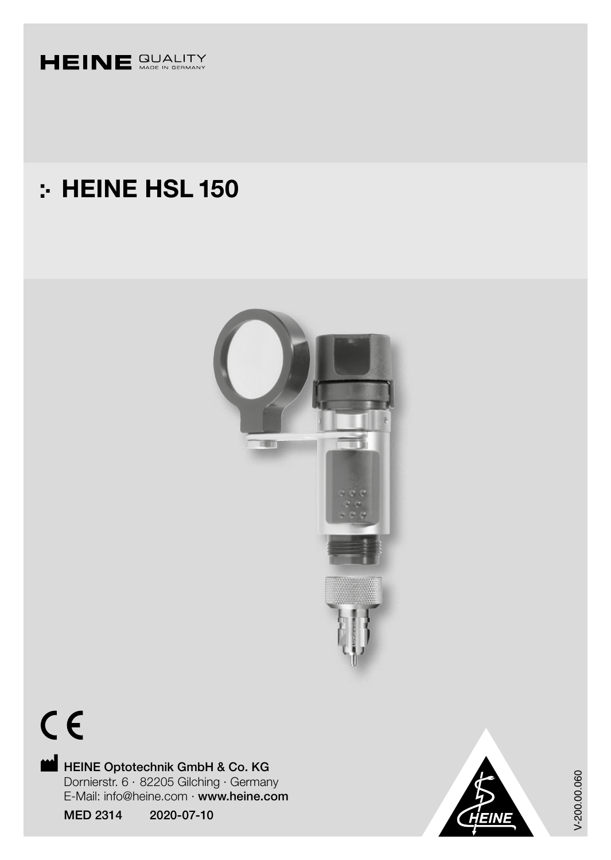

## : HEINE HSL 150





HEINE Optotechnik GmbH & Co. KG Dornierstr. 6 · 82205 Gilching · Germany E-Mail: info@heine.com · www.heine.com

MED 2314 2020-07-10



V-200.00.060 V-200.00.060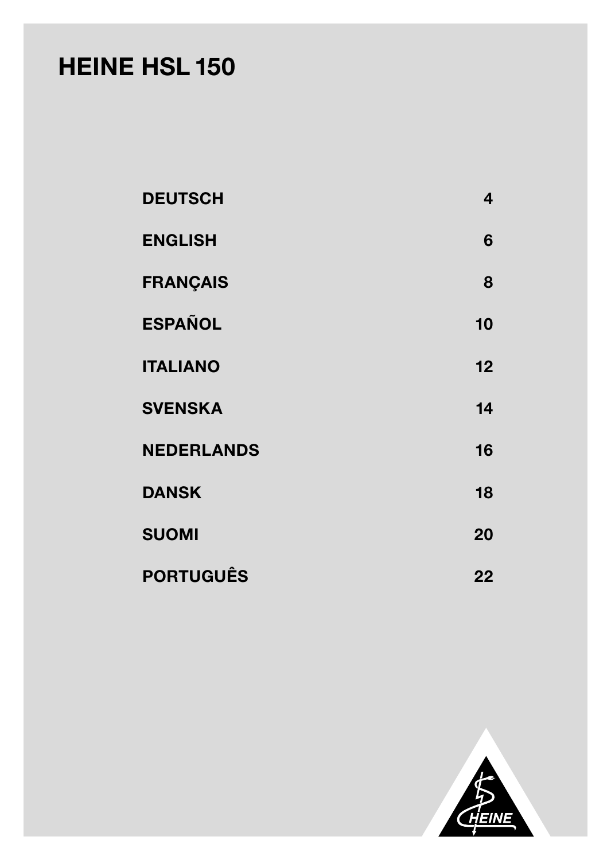# HEINE HSL 150

| <b>DEUTSCH</b>    | 4  |
|-------------------|----|
| <b>ENGLISH</b>    | 6  |
| <b>FRANÇAIS</b>   | 8  |
| <b>ESPAÑOL</b>    | 10 |
| <b>ITALIANO</b>   | 12 |
| <b>SVENSKA</b>    | 14 |
| <b>NEDERLANDS</b> | 16 |
| <b>DANSK</b>      | 18 |
| <b>SUOMI</b>      | 20 |
| <b>PORTUGUÊS</b>  | 22 |

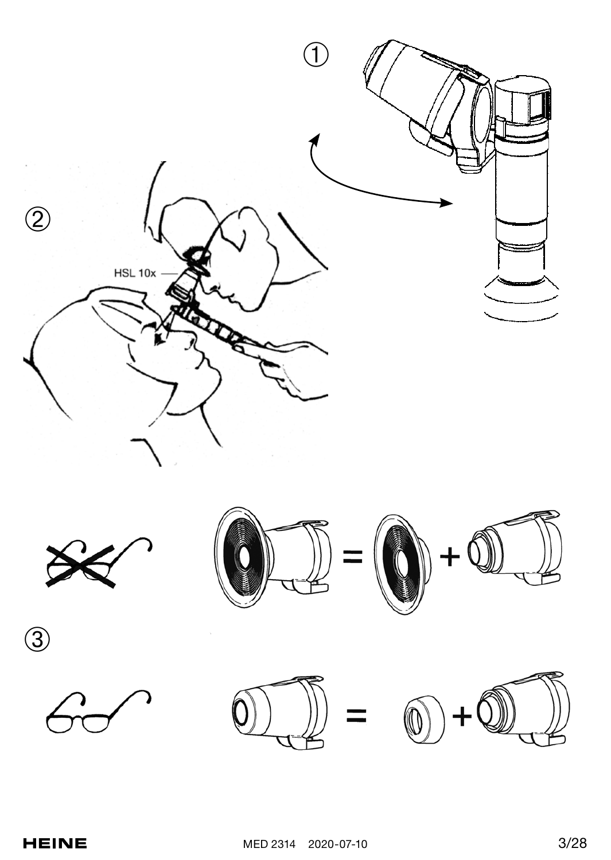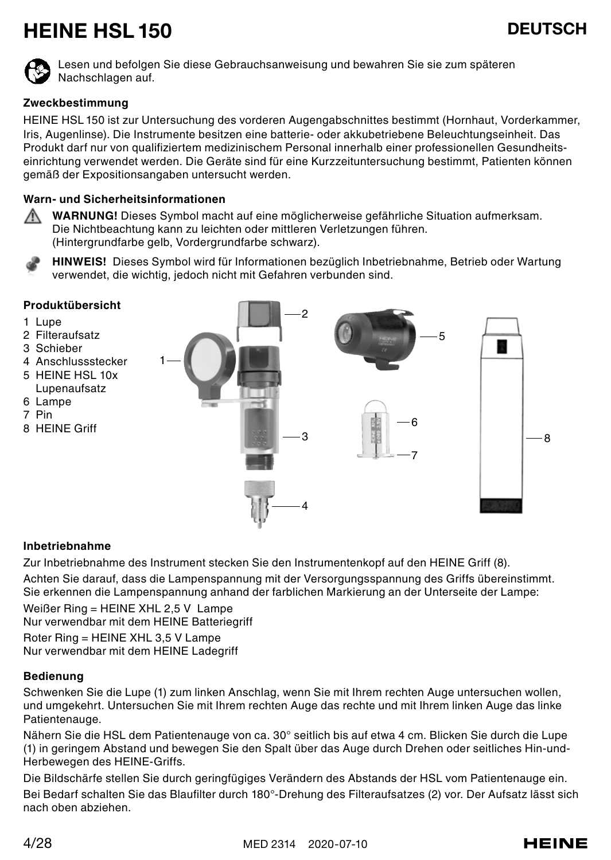## HEINE HSL 150 DEUTSCH



Lesen und befolgen Sie diese Gebrauchsanweisung und bewahren Sie sie zum späteren Nachschlagen auf.

## **Zweckbestimmung**

HEINE HSL 150 ist zur Untersuchung des vorderen Augengabschnittes bestimmt (Hornhaut, Vorderkammer, Iris, Augenlinse). Die Instrumente besitzen eine batterie- oder akkubetriebene Beleuchtungseinheit. Das Produkt darf nur von qualifiziertem medizinischem Personal innerhalb einer professionellen Gesundheitseinrichtung verwendet werden. Die Geräte sind für eine Kurzzeituntersuchung bestimmt, Patienten können gemäß der Expositionsangaben untersucht werden.

## **Warn- und Sicherheitsinformationen**

**WARNUNG!** Dieses Symbol macht auf eine möglicherweise gefährliche Situation aufmerksam. Die Nichtbeachtung kann zu leichten oder mittleren Verletzungen führen. (Hintergrundfarbe gelb, Vordergrundfarbe schwarz).

**HINWEIS!** Dieses Symbol wird für Informationen bezüglich Inbetriebnahme, Betrieb oder Wartung verwendet, die wichtig, jedoch nicht mit Gefahren verbunden sind.



## **Inbetriebnahme**

Zur Inbetriebnahme des Instrument stecken Sie den Instrumentenkopf auf den HEINE Griff (8). Achten Sie darauf, dass die Lampenspannung mit der Versorgungsspannung des Griffs übereinstimmt. Sie erkennen die Lampenspannung anhand der farblichen Markierung an der Unterseite der Lampe:

Weißer Ring = HEINE XHL 2,5 V Lampe Nur verwendbar mit dem HEINE Batteriegriff

Roter Ring = HEINE XHL 3,5 V Lampe Nur verwendbar mit dem HEINE Ladegriff

## **Bedienung**

Schwenken Sie die Lupe (1) zum linken Anschlag, wenn Sie mit Ihrem rechten Auge untersuchen wollen, und umgekehrt. Untersuchen Sie mit Ihrem rechten Auge das rechte und mit Ihrem linken Auge das linke Patientenauge.

Nähern Sie die HSL dem Patientenauge von ca. 30° seitlich bis auf etwa 4 cm. Blicken Sie durch die Lupe (1) in geringem Abstand und bewegen Sie den Spalt über das Auge durch Drehen oder seitliches Hin-und-Herbewegen des HEINE-Griffs.

Die Bildschärfe stellen Sie durch geringfügiges Verändern des Abstands der HSL vom Patientenauge ein. Bei Bedarf schalten Sie das Blaufilter durch 180°-Drehung des Filteraufsatzes (2) vor. Der Aufsatz lässt sich nach oben abziehen.

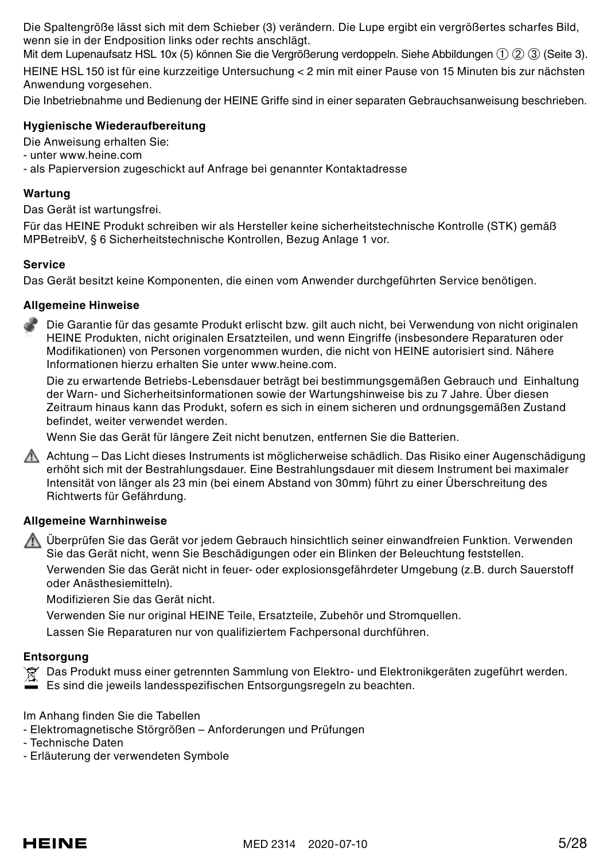Die Spaltengröße lässt sich mit dem Schieber (3) verändern. Die Lupe ergibt ein vergrößertes scharfes Bild, wenn sie in der Endposition links oder rechts anschlägt.

Mit dem Lupenaufsatz HSL 10x (5) können Sie die Vergrößerung verdoppeln. Siehe Abbildungen (1) (2) (3) (Seite 3).

HEINE HSL 150 ist für eine kurzzeitige Untersuchung < 2 min mit einer Pause von 15 Minuten bis zur nächsten Anwendung vorgesehen.

Die Inbetriebnahme und Bedienung der HEINE Griffe sind in einer separaten Gebrauchsanweisung beschrieben.

## **Hygienische Wiederaufbereitung**

Die Anweisung erhalten Sie:

- unter www.heine.com

- als Papierversion zugeschickt auf Anfrage bei genannter Kontaktadresse

## **Wartung**

Das Gerät ist wartungsfrei.

Für das HEINE Produkt schreiben wir als Hersteller keine sicherheitstechnische Kontrolle (STK) gemäß MPBetreibV, § 6 Sicherheitstechnische Kontrollen, Bezug Anlage 1 vor.

## **Service**

Das Gerät besitzt keine Komponenten, die einen vom Anwender durchgeführten Service benötigen.

## **Allgemeine Hinweise**

Die Garantie für das gesamte Produkt erlischt bzw. gilt auch nicht, bei Verwendung von nicht originalen HEINE Produkten, nicht originalen Ersatzteilen, und wenn Eingriffe (insbesondere Reparaturen oder Modifikationen) von Personen vorgenommen wurden, die nicht von HEINE autorisiert sind. Nähere Informationen hierzu erhalten Sie unter www.heine.com.

Die zu erwartende Betriebs-Lebensdauer beträgt bei bestimmungsgemäßen Gebrauch und Einhaltung der Warn- und Sicherheitsinformationen sowie der Wartungshinweise bis zu 7 Jahre. Über diesen Zeitraum hinaus kann das Produkt, sofern es sich in einem sicheren und ordnungsgemäßen Zustand befindet, weiter verwendet werden.

Wenn Sie das Gerät für längere Zeit nicht benutzen, entfernen Sie die Batterien.

Achtung – Das Licht dieses Instruments ist möglicherweise schädlich. Das Risiko einer Augenschädigung erhöht sich mit der Bestrahlungsdauer. Eine Bestrahlungsdauer mit diesem Instrument bei maximaler Intensität von länger als 23 min (bei einem Abstand von 30mm) führt zu einer Überschreitung des Richtwerts für Gefährdung.

## **Allgemeine Warnhinweise**

Überprüfen Sie das Gerät vor jedem Gebrauch hinsichtlich seiner einwandfreien Funktion. Verwenden Sie das Gerät nicht, wenn Sie Beschädigungen oder ein Blinken der Beleuchtung feststellen.

Verwenden Sie das Gerät nicht in feuer- oder explosionsgefährdeter Umgebung (z.B. durch Sauerstoff oder Anästhesiemitteln).

Modifizieren Sie das Gerät nicht.

Verwenden Sie nur original HEINE Teile, Ersatzteile, Zubehör und Stromquellen.

Lassen Sie Reparaturen nur von qualifiziertem Fachpersonal durchführen.

## **Entsorgung**

Das Produkt muss einer getrennten Sammlung von Elektro- und Elektronikgeräten zugeführt werden. Es sind die jeweils landesspezifischen Entsorgungsregeln zu beachten.

Im Anhang finden Sie die Tabellen

- Elektromagnetische Störgrößen – Anforderungen und Prüfungen

- Technische Daten
- Erläuterung der verwendeten Symbole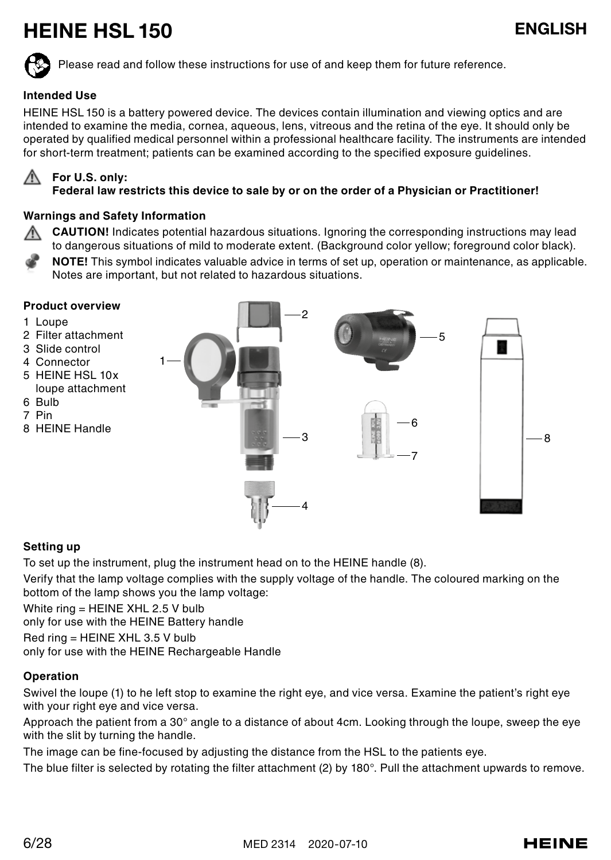## HEINE HSL 150 ENGLISH

Please read and follow these instructions for use of and keep them for future reference.

## **Intended Use**

HEINE HSL 150 is a battery powered device. The devices contain illumination and viewing optics and are intended to examine the media, cornea, aqueous, lens, vitreous and the retina of the eye. It should only be operated by qualified medical personnel within a professional healthcare facility. The instruments are intended for short-term treatment; patients can be examined according to the specified exposure guidelines.

## **For U.S. only:**

**Federal law restricts this device to sale by or on the order of a Physician or Practitioner!**

## **Warnings and Safety Information**

**CAUTION!** Indicates potential hazardous situations. Ignoring the corresponding instructions may lead to dangerous situations of mild to moderate extent. (Background color yellow; foreground color black).

**NOTE!** This symbol indicates valuable advice in terms of set up, operation or maintenance, as applicable. Notes are important, but not related to hazardous situations.

#### **Product overview**

- 1 Loupe
- 2 Filter attachment
- 3 Slide control
- 4 Connector
- 5 HEINE HSL 10x loupe attachment
- 6 Bulb
- 7 Pin
- 8 HEINE Handle



## **Setting up**

To set up the instrument, plug the instrument head on to the HEINE handle (8).

Verify that the lamp voltage complies with the supply voltage of the handle. The coloured marking on the bottom of the lamp shows you the lamp voltage:

White ring = HEINE XHL 2.5 V bulb

only for use with the HEINE Battery handle

Red ring = HEINE XHL 3.5 V bulb

only for use with the HEINE Rechargeable Handle

## **Operation**

Swivel the loupe (1) to he left stop to examine the right eye, and vice versa. Examine the patient's right eye with your right eye and vice versa.

Approach the patient from a 30° angle to a distance of about 4cm. Looking through the loupe, sweep the eye with the slit by turning the handle.

The image can be fine-focused by adjusting the distance from the HSL to the patients eye.

The blue filter is selected by rotating the filter attachment (2) by 180°. Pull the attachment upwards to remove.

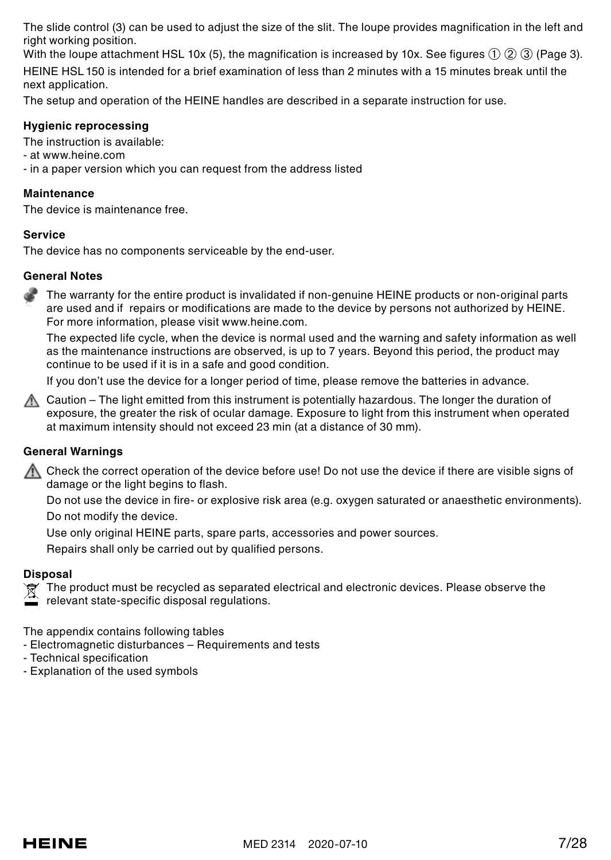The slide control (3) can be used to adjust the size of the slit. The loupe provides magnification in the left and right working position.

With the loupe attachment HSL 10x (5), the magnification is increased by 10x. See figures ① ② ② (Page 3).

HEINE HSL 150 is intended for a brief examination of less than 2 minutes with a 15 minutes break until the next application.

The setup and operation of the HEINE handles are described in a separate instruction for use.

## **Hygienic reprocessing**

The instruction is available:

- at www.heine.com
- in a paper version which you can request from the address listed

## **Maintenance**

The device is maintenance free.

## **Service**

The device has no components serviceable by the end-user.

## **General Notes**

The warranty for the entire product is invalidated if non-genuine HEINE products or non-original parts are used and if repairs or modifications are made to the device by persons not authorized by HEINE. For more information, please visit www.heine.com.

The expected life cycle, when the device is normal used and the warning and safety information as well as the maintenance instructions are observed, is up to 7 years. Beyond this period, the product may continue to be used if it is in a safe and good condition.

If you don't use the device for a longer period of time, please remove the batteries in advance.

 $\Lambda$  Caution – The light emitted from this instrument is potentially hazardous. The longer the duration of exposure, the greater the risk of ocular damage. Exposure to light from this instrument when operated at maximum intensity should not exceed 23 min (at a distance of 30 mm).

## **General Warnings**

 $\Lambda$  Check the correct operation of the device before use! Do not use the device if there are visible signs of damage or the light begins to flash.

Do not use the device in fire- or explosive risk area (e.g. oxygen saturated or anaesthetic environments). Do not modify the device.

Use only original HEINE parts, spare parts, accessories and power sources.

Repairs shall only be carried out by qualified persons.

## **Disposal**

 $\widehat{\mathbb{R}}^{\prime}$  The product must be recycled as separated electrical and electronic devices. Please observe the

relevant state-specific disposal regulations.

The appendix contains following tables

- Electromagnetic disturbances Requirements and tests
- Technical specification
- Explanation of the used symbols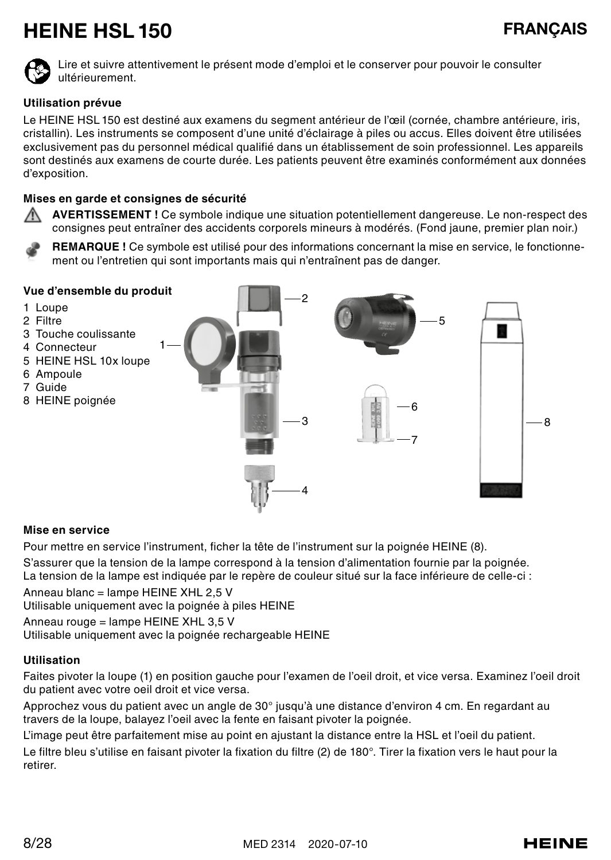## HEINE HSL 150 FRANCAIS



Lire et suivre attentivement le présent mode d'emploi et le conserver pour pouvoir le consulter ultérieurement.

## **Utilisation prévue**

Le HEINE HSL 150 est destiné aux examens du segment antérieur de l'œil (cornée, chambre antérieure, iris, cristallin). Les instruments se composent d'une unité d'éclairage à piles ou accus. Elles doivent être utilisées exclusivement pas du personnel médical qualifié dans un établissement de soin professionnel. Les appareils sont destinés aux examens de courte durée. Les patients peuvent être examinés conformément aux données d'exposition.

## **Mises en garde et consignes de sécurité**

**AVERTISSEMENT !** Ce symbole indique une situation potentiellement dangereuse. Le non-respect des consignes peut entraîner des accidents corporels mineurs à modérés. (Fond jaune, premier plan noir.)

**REMARQUE !** Ce symbole est utilisé pour des informations concernant la mise en service, le fonctionnement ou l'entretien qui sont importants mais qui n'entraînent pas de danger.



#### **Mise en service**

Pour mettre en service l'instrument, ficher la tête de l'instrument sur la poignée HEINE (8).

S'assurer que la tension de la lampe correspond à la tension d'alimentation fournie par la poignée.

La tension de la lampe est indiquée par le repère de couleur situé sur la face inférieure de celle-ci :

Anneau blanc = lampe HEINE XHL 2,5 V

Utilisable uniquement avec la poignée à piles HEINE

Anneau rouge = lampe HEINE XHL 3,5 V

Utilisable uniquement avec la poignée rechargeable HEINE

## **Utilisation**

Faites pivoter la loupe (1) en position gauche pour l'examen de l'oeil droit, et vice versa. Examinez l'oeil droit du patient avec votre oeil droit et vice versa.

Approchez vous du patient avec un angle de 30° jusqu'à une distance d'environ 4 cm. En regardant au travers de la loupe, balayez l'oeil avec la fente en faisant pivoter la poignée.

L'image peut être parfaitement mise au point en ajustant la distance entre la HSL et l'oeil du patient. Le filtre bleu s'utilise en faisant pivoter la fixation du filtre (2) de 180°. Tirer la fixation vers le haut pour la retirer.

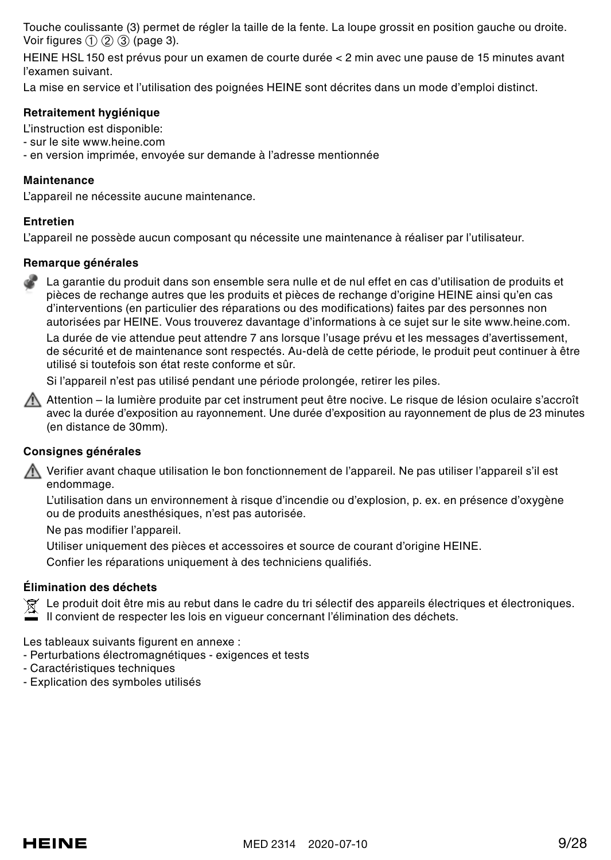Touche coulissante (3) permet de régler la taille de la fente. La loupe grossit en position gauche ou droite. Voir figures (1) (2) (3) (page 3).

HEINE HSL 150 est prévus pour un examen de courte durée < 2 min avec une pause de 15 minutes avant l'examen suivant.

La mise en service et l'utilisation des poignées HEINE sont décrites dans un mode d'emploi distinct.

## **Retraitement hygiénique**

L'instruction est disponible:

- sur le site www.heine.com
- en version imprimée, envoyée sur demande à l'adresse mentionnée

#### **Maintenance**

L'appareil ne nécessite aucune maintenance.

#### **Entretien**

L'appareil ne possède aucun composant qu nécessite une maintenance à réaliser par l'utilisateur.

#### **Remarque générales**

La garantie du produit dans son ensemble sera nulle et de nul effet en cas d'utilisation de produits et pièces de rechange autres que les produits et pièces de rechange d'origine HEINE ainsi qu'en cas d'interventions (en particulier des réparations ou des modifications) faites par des personnes non autorisées par HEINE. Vous trouverez davantage d'informations à ce sujet sur le site www.heine.com.

La durée de vie attendue peut attendre 7 ans lorsque l'usage prévu et les messages d'avertissement, de sécurité et de maintenance sont respectés. Au-delà de cette période, le produit peut continuer à être utilisé si toutefois son état reste conforme et sûr.

Si l'appareil n'est pas utilisé pendant une période prolongée, retirer les piles.

Attention – la lumière produite par cet instrument peut être nocive. Le risque de lésion oculaire s'accroît avec la durée d'exposition au rayonnement. Une durée d'exposition au rayonnement de plus de 23 minutes (en distance de 30mm).

## **Consignes générales**

Verifier avant chaque utilisation le bon fonctionnement de l'appareil. Ne pas utiliser l'appareil s'il est endommage.

L'utilisation dans un environnement à risque d'incendie ou d'explosion, p. ex. en présence d'oxygène ou de produits anesthésiques, n'est pas autorisée.

Ne pas modifier l'appareil.

Utiliser uniquement des pièces et accessoires et source de courant d'origine HEINE.

Confier les réparations uniquement à des techniciens qualifiés.

#### **Élimination des déchets**

Le produit doit être mis au rebut dans le cadre du tri sélectif des appareils électriques et électroniques.

Il convient de respecter les lois en vigueur concernant l'élimination des déchets.

Les tableaux suivants figurent en annexe :

- Perturbations électromagnétiques exigences et tests
- Caractéristiques techniques
- Explication des symboles utilisés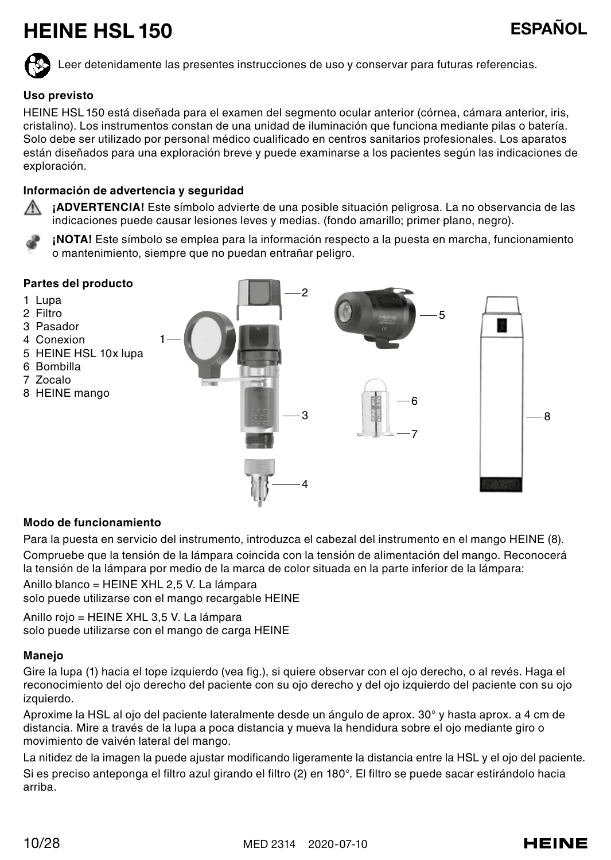## HEINE HSL 150 ESPAÑOL

Leer detenidamente las presentes instrucciones de uso y conservar para futuras referencias.

## **Uso previsto**

HEINE HSL 150 está diseñada para el examen del segmento ocular anterior (córnea, cámara anterior, iris, cristalino). Los instrumentos constan de una unidad de iluminación que funciona mediante pilas o batería. Solo debe ser utilizado por personal médico cualificado en centros sanitarios profesionales. Los aparatos están diseñados para una exploración breve y puede examinarse a los pacientes según las indicaciones de exploración.

## **Información de advertencia y seguridad**

**¡ADVERTENCIA!** Este símbolo advierte de una posible situación peligrosa. La no observancia de las indicaciones puede causar lesiones leves y medias. (fondo amarillo; primer plano, negro).

**¡NOTA!** Este símbolo se emplea para la información respecto a la puesta en marcha, funcionamiento o mantenimiento, siempre que no puedan entrañar peligro.



#### **Modo de funcionamiento**

Para la puesta en servicio del instrumento, introduzca el cabezal del instrumento en el mango HEINE (8). Compruebe que la tensión de la lámpara coincida con la tensión de alimentación del mango. Reconocerá la tensión de la lámpara por medio de la marca de color situada en la parte inferior de la lámpara:

Anillo blanco = HEINE XHL 2,5 V. La lámpara

solo puede utilizarse con el mango recargable HEINE

Anillo rojo = HEINE XHL 3,5 V. La lámpara solo puede utilizarse con el mango de carga HEINE

#### **Manejo**

Gire la lupa (1) hacia el tope izquierdo (vea fig.), si quiere observar con el ojo derecho, o al revés. Haga el reconocimiento del ojo derecho del paciente con su ojo derecho y del ojo izquierdo del paciente con su ojo izquierdo.

Aproxime la HSL al ojo del paciente lateralmente desde un ángulo de aprox. 30° y hasta aprox. a 4 cm de distancia. Mire a través de la lupa a poca distancia y mueva la hendidura sobre el ojo mediante giro o movimiento de vaivén lateral del mango.

La nitidez de la imagen la puede ajustar modificando ligeramente la distancia entre la HSL y el ojo del paciente. Si es preciso anteponga el filtro azul girando el filtro (2) en 180°. El filtro se puede sacar estirándolo hacia arriba.

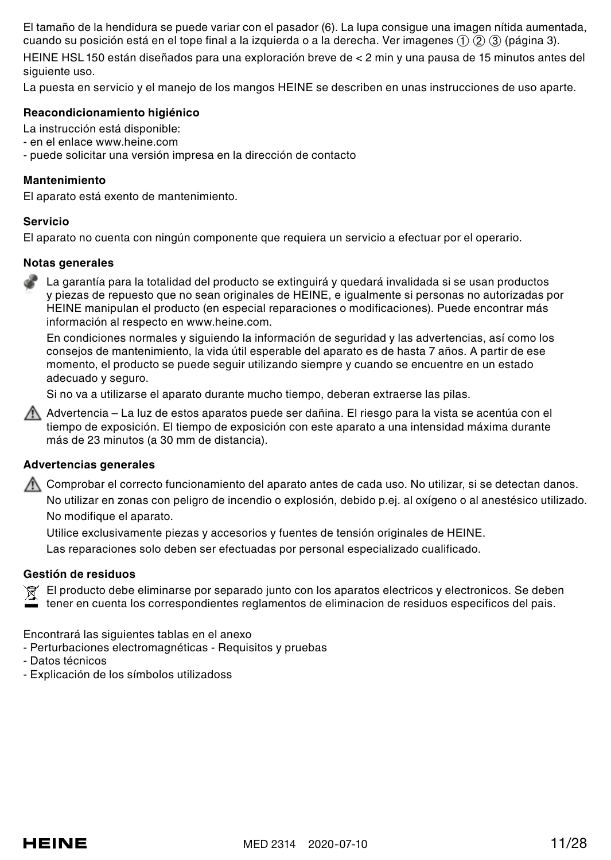El tamaño de la hendidura se puede variar con el pasador (6). La lupa consigue una imagen nítida aumentada, cuando su posición está en el tope final a la izquierda o a la derecha. Ver imagenes ➀ ➁ ➂ (página 3).

HEINE HSL 150 están diseñados para una exploración breve de < 2 min y una pausa de 15 minutos antes del siguiente uso.

La puesta en servicio y el manejo de los mangos HEINE se describen en unas instrucciones de uso aparte.

## **Reacondicionamiento higiénico**

La instrucción está disponible:

- en el enlace www.heine.com
- puede solicitar una versión impresa en la dirección de contacto

#### **Mantenimiento**

El aparato está exento de mantenimiento.

#### **Servicio**

El aparato no cuenta con ningún componente que requiera un servicio a efectuar por el operario.

### **Notas generales**

La garantía para la totalidad del producto se extinguirá y quedará invalidada si se usan productos y piezas de repuesto que no sean originales de HEINE, e igualmente si personas no autorizadas por HEINE manipulan el producto (en especial reparaciones o modificaciones). Puede encontrar más información al respecto en www.heine.com.

En condiciones normales y siguiendo la información de seguridad y las advertencias, así como los consejos de mantenimiento, la vida útil esperable del aparato es de hasta 7 años. A partir de ese momento, el producto se puede seguir utilizando siempre y cuando se encuentre en un estado adecuado y seguro.

Si no va a utilizarse el aparato durante mucho tiempo, deberan extraerse las pilas.

Advertencia – La luz de estos aparatos puede ser dañina. El riesgo para la vista se acentúa con el tiempo de exposición. El tiempo de exposición con este aparato a una intensidad máxima durante más de 23 minutos (a 30 mm de distancia).

### **Advertencias generales**

Comprobar el correcto funcionamiento del aparato antes de cada uso. No utilizar, si se detectan danos. No utilizar en zonas con peligro de incendio o explosión, debido p.ej. al oxígeno o al anestésico utilizado. No modifique el aparato.

Utilice exclusivamente piezas y accesorios y fuentes de tensión originales de HEINE.

Las reparaciones solo deben ser efectuadas por personal especializado cualificado.

#### **Gestión de residuos**

El producto debe eliminarse por separado junto con los aparatos electricos y electronicos. Se deben tener en cuenta los correspondientes reglamentos de eliminacion de residuos especificos del pais.

Encontrará las siguientes tablas en el anexo

- Perturbaciones electromagnéticas Requisitos y pruebas
- Datos técnicos
- Explicación de los símbolos utilizadoss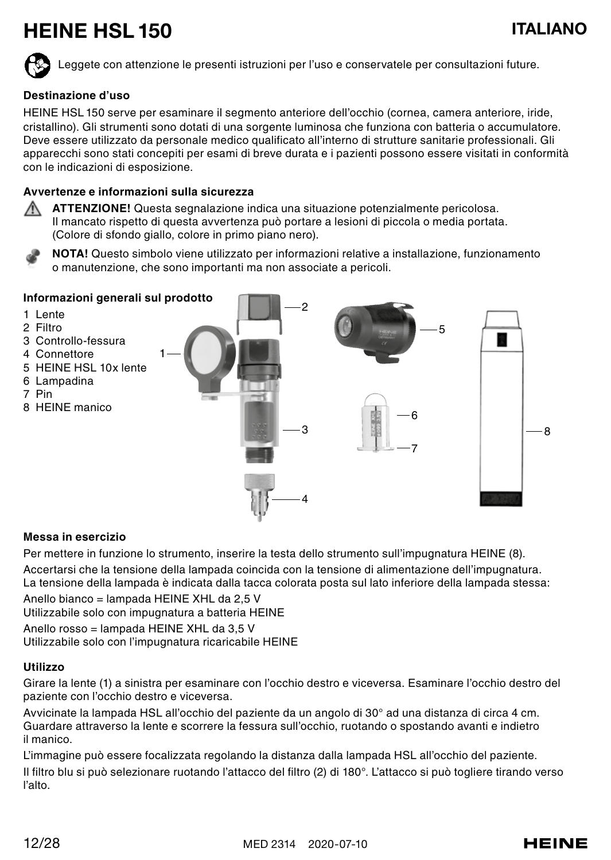## HEINE HSL 150 ITALIANO

Leggete con attenzione le presenti istruzioni per l'uso e conservatele per consultazioni future.

## **Destinazione d'uso**

HEINE HSL 150 serve per esaminare il segmento anteriore dell'occhio (cornea, camera anteriore, iride, cristallino). Gli strumenti sono dotati di una sorgente luminosa che funziona con batteria o accumulatore. Deve essere utilizzato da personale medico qualificato all'interno di strutture sanitarie professionali. Gli apparecchi sono stati concepiti per esami di breve durata e i pazienti possono essere visitati in conformità con le indicazioni di esposizione.

## **Avvertenze e informazioni sulla sicurezza**

**ATTENZIONE!** Questa segnalazione indica una situazione potenzialmente pericolosa. ⚠ Il mancato rispetto di questa avvertenza può portare a lesioni di piccola o media portata. (Colore di sfondo giallo, colore in primo piano nero).

**NOTA!** Questo simbolo viene utilizzato per informazioni relative a installazione, funzionamento o manutenzione, che sono importanti ma non associate a pericoli.



## **Messa in esercizio**

Per mettere in funzione lo strumento, inserire la testa dello strumento sull'impugnatura HEINE (8). Accertarsi che la tensione della lampada coincida con la tensione di alimentazione dell'impugnatura. La tensione della lampada è indicata dalla tacca colorata posta sul lato inferiore della lampada stessa:

Anello bianco = lampada HEINE XHL da 2,5 V Utilizzabile solo con impugnatura a batteria HEINE

Anello rosso = lampada HEINE XHL da 3,5 V Utilizzabile solo con l'impugnatura ricaricabile HEINE

## **Utilizzo**

Girare la lente (1) a sinistra per esaminare con l'occhio destro e viceversa. Esaminare l'occhio destro del paziente con l'occhio destro e viceversa.

Avvicinate la lampada HSL all'occhio del paziente da un angolo di 30° ad una distanza di circa 4 cm. Guardare attraverso la lente e scorrere la fessura sull'occhio, ruotando o spostando avanti e indietro il manico.

L'immagine può essere focalizzata regolando la distanza dalla lampada HSL all'occhio del paziente. Il filtro blu si può selezionare ruotando l'attacco del filtro (2) di 180°. L'attacco si può togliere tirando verso l'alto.

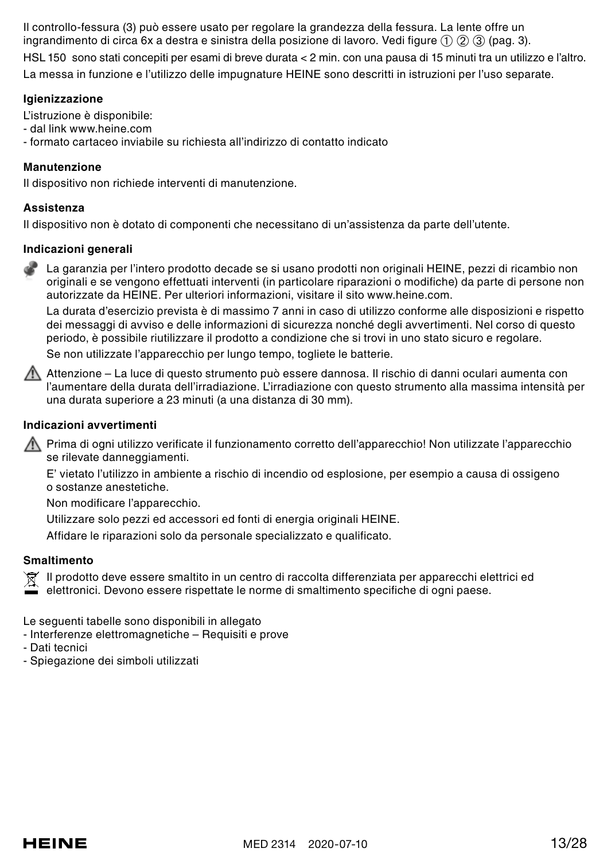Il controllo-fessura (3) può essere usato per regolare la grandezza della fessura. La lente offre un ingrandimento di circa 6x a destra e sinistra della posizione di lavoro. Vedi figure ➀ ➁ ➂ (pag. 3). HSL 150 sono stati concepiti per esami di breve durata < 2 min. con una pausa di 15 minuti tra un utilizzo e l'altro. La messa in funzione e l'utilizzo delle impugnature HEINE sono descritti in istruzioni per l'uso separate.

## **Igienizzazione**

L'istruzione è disponibile:

- dal link www.heine.com
- formato cartaceo inviabile su richiesta all'indirizzo di contatto indicato

## **Manutenzione**

Il dispositivo non richiede interventi di manutenzione.

## **Assistenza**

Il dispositivo non è dotato di componenti che necessitano di un'assistenza da parte dell'utente.

## **Indicazioni generali**

La garanzia per l'intero prodotto decade se si usano prodotti non originali HEINE, pezzi di ricambio non originali e se vengono effettuati interventi (in particolare riparazioni o modifiche) da parte di persone non autorizzate da HEINE. Per ulteriori informazioni, visitare il sito www.heine.com.

La durata d'esercizio prevista è di massimo 7 anni in caso di utilizzo conforme alle disposizioni e rispetto dei messaggi di avviso e delle informazioni di sicurezza nonché degli avvertimenti. Nel corso di questo periodo, è possibile riutilizzare il prodotto a condizione che si trovi in uno stato sicuro e regolare. Se non utilizzate l'apparecchio per lungo tempo, togliete le batterie.

Attenzione – La luce di questo strumento può essere dannosa. Il rischio di danni oculari aumenta con l'aumentare della durata dell'irradiazione. L'irradiazione con questo strumento alla massima intensità per una durata superiore a 23 minuti (a una distanza di 30 mm).

## **Indicazioni avvertimenti**

Prima di ogni utilizzo verificate il funzionamento corretto dell'apparecchio! Non utilizzate l'apparecchio se rilevate danneggiamenti.

E' vietato l'utilizzo in ambiente a rischio di incendio od esplosione, per esempio a causa di ossigeno o sostanze anestetiche.

Non modificare l'apparecchio.

Utilizzare solo pezzi ed accessori ed fonti di energia originali HEINE.

Affidare le riparazioni solo da personale specializzato e qualificato.

## **Smaltimento**

Il prodotto deve essere smaltito in un centro di raccolta differenziata per apparecchi elettrici ed elettronici. Devono essere rispettate le norme di smaltimento specifiche di ogni paese.

Le sequenti tabelle sono disponibili in allegato

- Interferenze elettromagnetiche Requisiti e prove
- Dati tecnici
- Spiegazione dei simboli utilizzati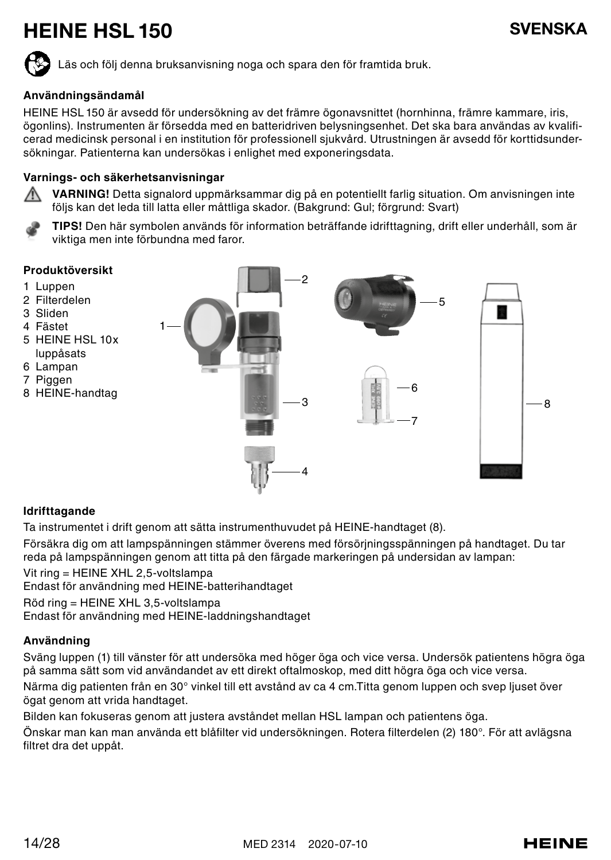## HEINE HSL 150 SVENSKA

Läs och följ denna bruksanvisning noga och spara den för framtida bruk.

## **Användningsändamål**

HEINE HSL 150 är avsedd för undersökning av det främre ögonavsnittet (hornhinna, främre kammare, iris, ögonlins). Instrumenten är försedda med en batteridriven belysningsenhet. Det ska bara användas av kvalificerad medicinsk personal i en institution för professionell sjukvård. Utrustningen är avsedd för korttidsundersökningar. Patienterna kan undersökas i enlighet med exponeringsdata.

#### **Varnings- och säkerhetsanvisningar**



**VARNING!** Detta signalord uppmärksammar dig på en potentiellt farlig situation. Om anvisningen inte följs kan det leda till latta eller måttliga skador. (Bakgrund: Gul; förgrund: Svart)

**TIPS!** Den här symbolen används för information beträffande idrifttagning, drift eller underhåll, som är viktiga men inte förbundna med faror.

#### **Produktöversikt**

- 1 Luppen
- 2 Filterdelen
- 3 Sliden
- 4 Fästet
- 5 HEINE HSL 10x luppåsats
- 6 Lampan
- 
- 7 Piggen
- 8 HEINE-handtag



#### **Idrifttagande**

Ta instrumentet i drift genom att sätta instrumenthuvudet på HEINE-handtaget (8).

Försäkra dig om att lampspänningen stämmer överens med försörjningsspänningen på handtaget. Du tar reda på lampspänningen genom att titta på den färgade markeringen på undersidan av lampan:

Vit ring = HEINE XHL 2,5-voltslampa Endast för användning med HEINE-batterihandtaget

1

Röd ring = HEINE XHL 3,5-voltslampa

Endast för användning med HEINE-laddningshandtaget

## **Användning**

Sväng luppen (1) till vänster för att undersöka med höger öga och vice versa. Undersök patientens högra öga på samma sätt som vid användandet av ett direkt oftalmoskop, med ditt högra öga och vice versa.

Närma dig patienten från en 30° vinkel till ett avstånd av ca 4 cm.Titta genom luppen och svep ljuset över ögat genom att vrida handtaget.

Bilden kan fokuseras genom att justera avståndet mellan HSL lampan och patientens öga.

Önskar man kan man använda ett blåfilter vid undersökningen. Rotera filterdelen (2) 180°. För att avlägsna filtret dra det uppåt.

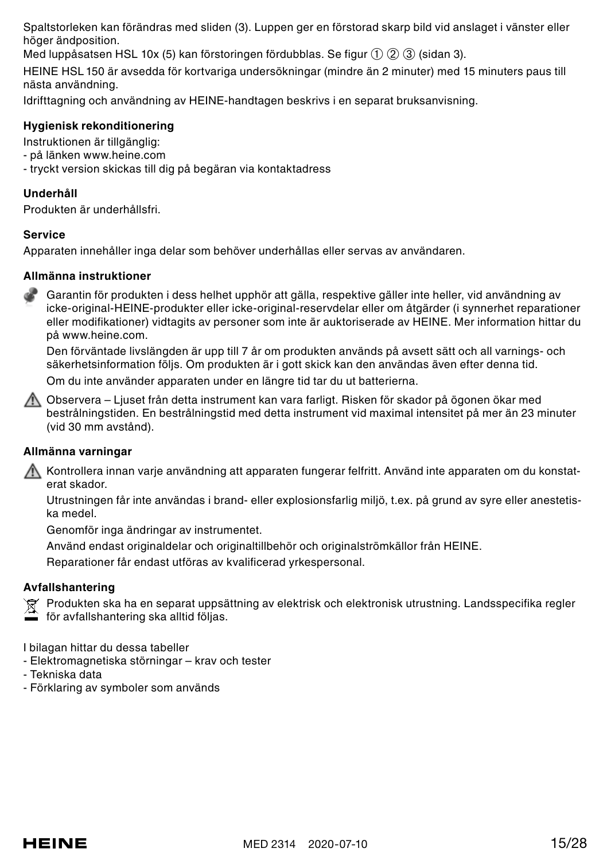Spaltstorleken kan förändras med sliden (3). Luppen ger en förstorad skarp bild vid anslaget i vänster eller höger ändposition.

Med luppåsatsen HSL 10x (5) kan förstoringen fördubblas. Se figur ① ② ③ (sidan 3).

HEINE HSL 150 är avsedda för kortvariga undersökningar (mindre än 2 minuter) med 15 minuters paus till nästa användning.

Idrifttagning och användning av HEINE-handtagen beskrivs i en separat bruksanvisning.

## **Hygienisk rekonditionering**

Instruktionen är tillgänglig:

- på länken www.heine.com

- tryckt version skickas till dig på begäran via kontaktadress

## **Underhåll**

Produkten är underhållsfri.

## **Service**

Apparaten innehåller inga delar som behöver underhållas eller servas av användaren.

## **Allmänna instruktioner**

Garantin för produkten i dess helhet upphör att gälla, respektive gäller inte heller, vid användning av icke-original-HEINE-produkter eller icke-original-reservdelar eller om åtgärder (i synnerhet reparationer eller modifikationer) vidtagits av personer som inte är auktoriserade av HEINE. Mer information hittar du på www.heine.com.

Den förväntade livslängden är upp till 7 år om produkten används på avsett sätt och all varnings- och säkerhetsinformation följs. Om produkten är i gott skick kan den användas även efter denna tid.

Om du inte använder apparaten under en längre tid tar du ut batterierna.

Observera – Ljuset från detta instrument kan vara farligt. Risken för skador på ögonen ökar med bestrålningstiden. En bestrålningstid med detta instrument vid maximal intensitet på mer än 23 minuter (vid 30 mm avstånd).

## **Allmänna varningar**

Kontrollera innan varje användning att apparaten fungerar felfritt. Använd inte apparaten om du konstaterat skador.

Utrustningen får inte användas i brand- eller explosionsfarlig miljö, t.ex. på grund av syre eller anestetiska medel.

Genomför inga ändringar av instrumentet.

Använd endast originaldelar och originaltillbehör och originalströmkällor från HEINE.

Reparationer får endast utföras av kvalificerad yrkespersonal.

## **Avfallshantering**

 $\widehat{\boxtimes}$  Produkten ska ha en separat uppsättning av elektrisk och elektronisk utrustning. Landsspecifika regler

för avfallshantering ska alltid följas.

I bilagan hittar du dessa tabeller

- Elektromagnetiska störningar krav och tester
- Tekniska data
- Förklaring av symboler som används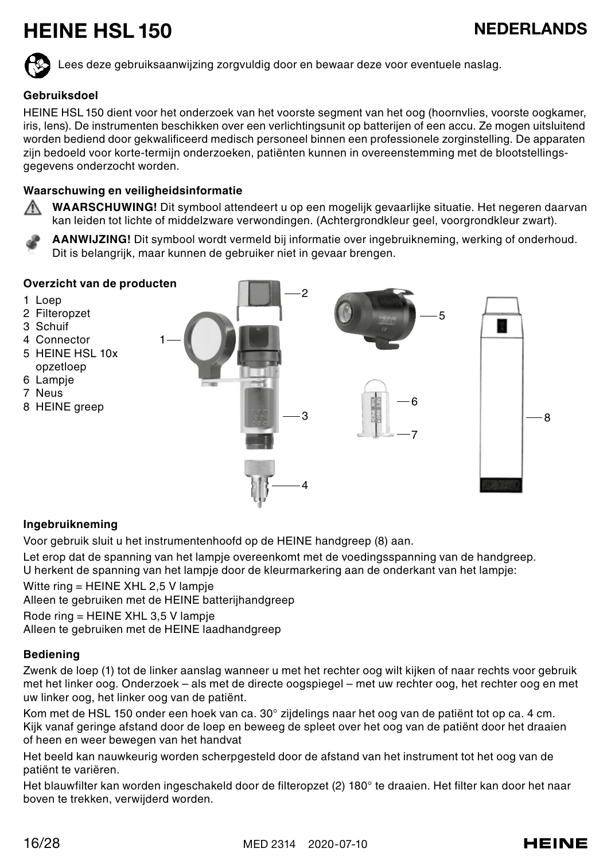## HEINE HSL 150 NEDERLANDS

Lees deze gebruiksaanwijzing zorgvuldig door en bewaar deze voor eventuele naslag.

## **Gebruiksdoel**

HEINE HSL 150 dient voor het onderzoek van het voorste segment van het oog (hoornvlies, voorste oogkamer, iris, lens). De instrumenten beschikken over een verlichtingsunit op batterijen of een accu. Ze mogen uitsluitend worden bediend door gekwalificeerd medisch personeel binnen een professionele zorginstelling. De apparaten zijn bedoeld voor korte-termijn onderzoeken, patiënten kunnen in overeenstemming met de blootstellingsgegevens onderzocht worden.

## **Waarschuwing en veiligheidsinformatie**

**WAARSCHUWING!** Dit symbool attendeert u op een mogelijk gevaarlijke situatie. Het negeren daarvan kan leiden tot lichte of middelzware verwondingen. (Achtergrondkleur geel, voorgrondkleur zwart).

**AANWIJZING!** Dit symbool wordt vermeld bij informatie over ingebruikneming, werking of onderhoud. Dit is belangrijk, maar kunnen de gebruiker niet in gevaar brengen.



## **Ingebruikneming**

Voor gebruik sluit u het instrumentenhoofd op de HEINE handgreep (8) aan.

Let erop dat de spanning van het lampje overeenkomt met de voedingsspanning van de handgreep. U herkent de spanning van het lampje door de kleurmarkering aan de onderkant van het lampje:

Witte ring = HEINE XHL 2,5 V lampje

Alleen te gebruiken met de HEINE batterijhandgreep

Rode ring = HEINE XHL 3,5 V lampje Alleen te gebruiken met de HEINE laadhandgreep

## **Bediening**

Zwenk de loep (1) tot de linker aanslag wanneer u met het rechter oog wilt kijken of naar rechts voor gebruik met het linker oog. Onderzoek – als met de directe oogspiegel – met uw rechter oog, het rechter oog en met uw linker oog, het linker oog van de patiënt.

Kom met de HSL 150 onder een hoek van ca. 30° zijdelings naar het oog van de patiënt tot op ca. 4 cm. Kijk vanaf geringe afstand door de loep en beweeg de spleet over het oog van de patiënt door het draaien of heen en weer bewegen van het handvat

Het beeld kan nauwkeurig worden scherpgesteld door de afstand van het instrument tot het oog van de patiënt te variëren.

Het blauwfilter kan worden ingeschakeld door de filteropzet (2) 180° te draaien. Het filter kan door het naar boven te trekken, verwijderd worden.

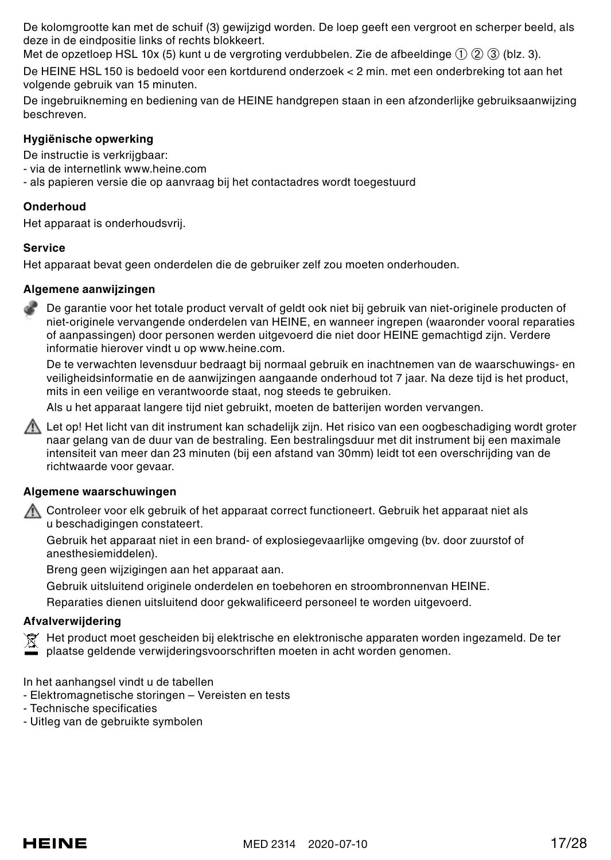De kolomgrootte kan met de schuif (3) gewijzigd worden. De loep geeft een vergroot en scherper beeld, als deze in de eindpositie links of rechts blokkeert.

Met de opzetloep HSL 10x (5) kunt u de vergroting verdubbelen. Zie de afbeeldinge (1) (2) (3) (blz. 3).

De HEINE HSL 150 is bedoeld voor een kortdurend onderzoek < 2 min. met een onderbreking tot aan het volgende gebruik van 15 minuten.

De ingebruikneming en bediening van de HEINE handgrepen staan in een afzonderlijke gebruiksaanwijzing beschreven.

## **Hygiënische opwerking**

De instructie is verkrijgbaar:

- via de internetlink www.heine.com
- als papieren versie die op aanvraag bij het contactadres wordt toegestuurd

## **Onderhoud**

Het apparaat is onderhoudsvrij.

#### **Service**

Het apparaat bevat geen onderdelen die de gebruiker zelf zou moeten onderhouden.

## **Algemene aanwijzingen**

De garantie voor het totale product vervalt of geldt ook niet bij gebruik van niet-originele producten of niet-originele vervangende onderdelen van HEINE, en wanneer ingrepen (waaronder vooral reparaties of aanpassingen) door personen werden uitgevoerd die niet door HEINE gemachtigd zijn. Verdere informatie hierover vindt u op www.heine.com.

De te verwachten levensduur bedraagt bij normaal gebruik en inachtnemen van de waarschuwings- en veiligheidsinformatie en de aanwijzingen aangaande onderhoud tot 7 jaar. Na deze tijd is het product, mits in een veilige en verantwoorde staat, nog steeds te gebruiken.

Als u het apparaat langere tijd niet gebruikt, moeten de batterijen worden vervangen.

A. Let op! Het licht van dit instrument kan schadelijk zijn. Het risico van een oogbeschadiging wordt groter naar gelang van de duur van de bestraling. Een bestralingsduur met dit instrument bij een maximale intensiteit van meer dan 23 minuten (bij een afstand van 30mm) leidt tot een overschrijding van de richtwaarde voor gevaar.

## **Algemene waarschuwingen**

Controleer voor elk gebruik of het apparaat correct functioneert. Gebruik het apparaat niet als u beschadigingen constateert.

Gebruik het apparaat niet in een brand- of explosiegevaarlijke omgeving (bv. door zuurstof of anesthesiemiddelen).

Breng geen wijzigingen aan het apparaat aan.

Gebruik uitsluitend originele onderdelen en toebehoren en stroombronnenvan HEINE.

Reparaties dienen uitsluitend door gekwalificeerd personeel te worden uitgevoerd.

## **Afvalverwijdering**

Het product moet gescheiden bij elektrische en elektronische apparaten worden ingezameld. De ter

plaatse geldende verwijderingsvoorschriften moeten in acht worden genomen.

In het aanhangsel vindt u de tabellen

- Elektromagnetische storingen – Vereisten en tests

- Technische specificaties
- Uitleg van de gebruikte symbolen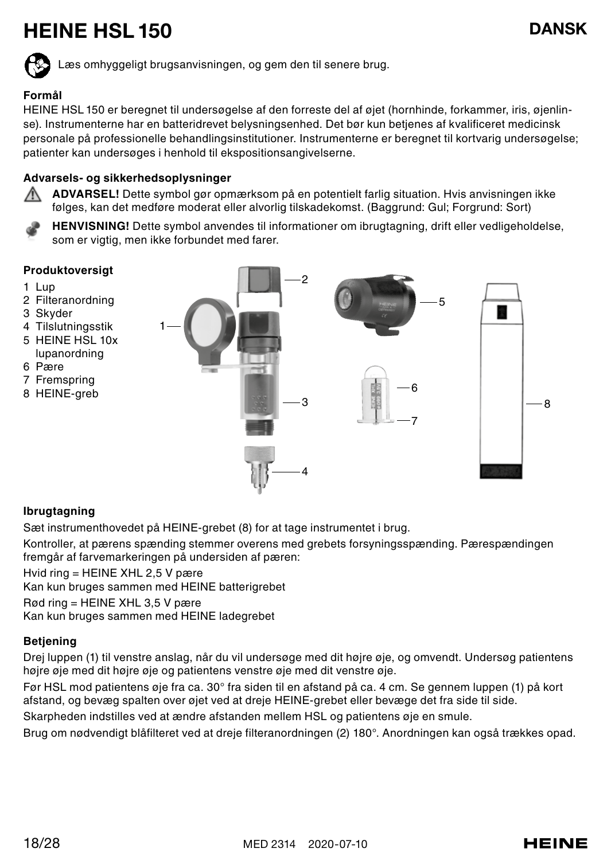## HEINE HSL 150 DANSK



Læs omhyggeligt brugsanvisningen, og gem den til senere brug.

## **Formål**

HEINE HSL 150 er beregnet til undersøgelse af den forreste del af øjet (hornhinde, forkammer, iris, øjenlinse). Instrumenterne har en batteridrevet belysningsenhed. Det bør kun betjenes af kvalificeret medicinsk personale på professionelle behandlingsinstitutioner. Instrumenterne er beregnet til kortvarig undersøgelse; patienter kan undersøges i henhold til ekspositionsangivelserne.

## **Advarsels- og sikkerhedsoplysninger**

**ADVARSEL!** Dette symbol gør opmærksom på en potentielt farlig situation. Hvis anvisningen ikke følges, kan det medføre moderat eller alvorlig tilskadekomst. (Baggrund: Gul; Forgrund: Sort)

**HENVISNING!** Dette symbol anvendes til informationer om ibrugtagning, drift eller vedligeholdelse, som er vigtig, men ikke forbundet med farer.

#### **Produktoversigt**

- 1 Lup
- 2 Filteranordning
- 3 Skyder
- 4 Tilslutningsstik
- 5 HEINE HSL 10x lupanordning
- 6 Pære
- 7 Fremspring
- 8 HEINE-greb



## **Ibrugtagning**

Sæt instrumenthovedet på HEINE-grebet (8) for at tage instrumentet i brug.

Kontroller, at pærens spænding stemmer overens med grebets forsyningsspænding. Pærespændingen fremgår af farvemarkeringen på undersiden af pæren:

Hvid ring = HEINE XHL 2,5 V pære

Kan kun bruges sammen med HEINE batterigrebet

Rød ring = HEINE XHL 3,5 V pære

Kan kun bruges sammen med HEINE ladegrebet

## **Betjening**

Drej luppen (1) til venstre anslag, når du vil undersøge med dit højre øje, og omvendt. Undersøg patientens højre øje med dit højre øje og patientens venstre øje med dit venstre øje.

Før HSL mod patientens øje fra ca. 30° fra siden til en afstand på ca. 4 cm. Se gennem luppen (1) på kort afstand, og bevæg spalten over øjet ved at dreje HEINE-grebet eller bevæge det fra side til side.

Skarpheden indstilles ved at ændre afstanden mellem HSL og patientens øje en smule.

Brug om nødvendigt blåfilteret ved at dreje filteranordningen (2) 180°. Anordningen kan også trækkes opad.

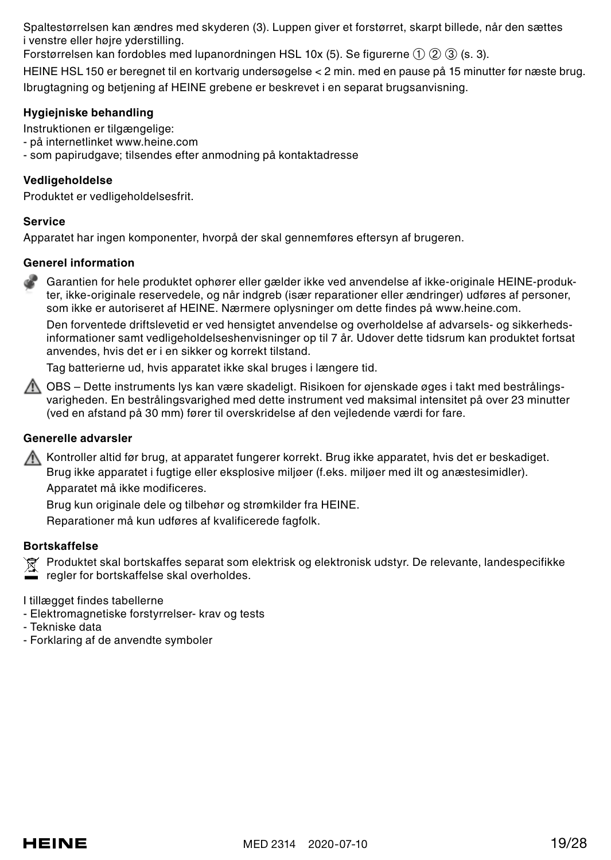Spaltestørrelsen kan ændres med skyderen (3). Luppen giver et forstørret, skarpt billede, når den sættes i venstre eller højre yderstilling.

Forstørrelsen kan fordobles med lupanordningen HSL 10x (5). Se figurerne ① ② ③ (s. 3).

HEINE HSL 150 er beregnet til en kortvarig undersøgelse < 2 min. med en pause på 15 minutter før næste brug. Ibrugtagning og betjening af HEINE grebene er beskrevet i en separat brugsanvisning.

## **Hygiejniske behandling**

Instruktionen er tilgængelige:

- på internetlinket www.heine.com
- som papirudgave; tilsendes efter anmodning på kontaktadresse

## **Vedligeholdelse**

Produktet er vedligeholdelsesfrit.

#### **Service**

Apparatet har ingen komponenter, hvorpå der skal gennemføres eftersyn af brugeren.

## **Generel information**

Garantien for hele produktet ophører eller gælder ikke ved anvendelse af ikke-originale HEINE-produkter, ikke-originale reservedele, og når indgreb (især reparationer eller ændringer) udføres af personer, som ikke er autoriseret af HEINE. Nærmere oplysninger om dette findes på www.heine.com.

Den forventede driftslevetid er ved hensigtet anvendelse og overholdelse af advarsels- og sikkerhedsinformationer samt vedligeholdelseshenvisninger op til 7 år. Udover dette tidsrum kan produktet fortsat anvendes, hvis det er i en sikker og korrekt tilstand.

Tag batterierne ud, hvis apparatet ikke skal bruges i længere tid.

A OBS – Dette instruments lys kan være skadeligt. Risikoen for øjenskade øges i takt med bestrålingsvarigheden. En bestrålingsvarighed med dette instrument ved maksimal intensitet på over 23 minutter (ved en afstand på 30 mm) fører til overskridelse af den vejledende værdi for fare.

## **Generelle advarsler**

Kontroller altid før brug, at apparatet fungerer korrekt. Brug ikke apparatet, hvis det er beskadiget. Brug ikke apparatet i fugtige eller eksplosive miljøer (f.eks. miljøer med ilt og anæstesimidler). Apparatet må ikke modificeres.

Brug kun originale dele og tilbehør og strømkilder fra HEINE.

Reparationer må kun udføres af kvalificerede fagfolk.

## **Bortskaffelse**

Produktet skal bortskaffes separat som elektrisk og elektronisk udstyr. De relevante, landespecifikke regler for bortskaffelse skal overholdes.

I tillægget findes tabellerne

- Elektromagnetiske forstyrrelser- krav og tests
- Tekniske data
- Forklaring af de anvendte symboler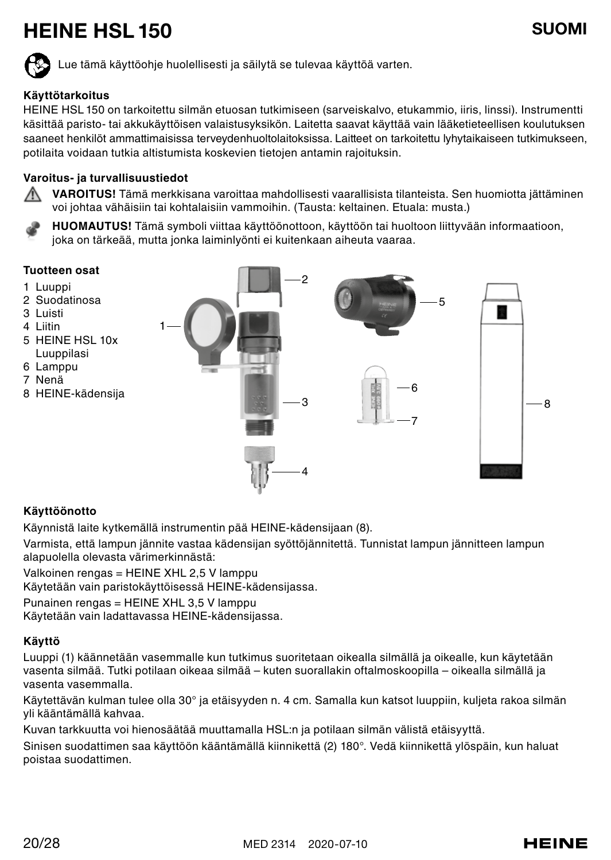## HEINE HSL 150 SUOMI

Lue tämä käyttöohje huolellisesti ja säilytä se tulevaa käyttöä varten.

## **Käyttötarkoitus**

HEINE HSL 150 on tarkoitettu silmän etuosan tutkimiseen (sarveiskalvo, etukammio, iiris, linssi). Instrumentti käsittää paristo- tai akkukäyttöisen valaistusyksikön. Laitetta saavat käyttää vain lääketieteellisen koulutuksen saaneet henkilöt ammattimaisissa terveydenhuoltolaitoksissa. Laitteet on tarkoitettu lyhytaikaiseen tutkimukseen, potilaita voidaan tutkia altistumista koskevien tietojen antamin rajoituksin.

## **Varoitus- ja turvallisuustiedot**

∧ **VAROITUS!** Tämä merkkisana varoittaa mahdollisesti vaarallisista tilanteista. Sen huomiotta jättäminen voi johtaa vähäisiin tai kohtalaisiin vammoihin. (Tausta: keltainen. Etuala: musta.)

**HUOMAUTUS!** Tämä symboli viittaa käyttöönottoon, käyttöön tai huoltoon liittyvään informaatioon, joka on tärkeää, mutta jonka laiminlyönti ei kuitenkaan aiheuta vaaraa.

#### **Tuotteen osat**

- 1 Luuppi
- 2 Suodatinosa
- 3 Luisti
- 4 Liitin
- 5 HEINE HSL 10x Luuppilasi
- 6 Lamppu
- 7 Nenä
- 8 HEINE-kädensija



## **Käyttöönotto**

Käynnistä laite kytkemällä instrumentin pää HEINE-kädensijaan (8).

Varmista, että lampun jännite vastaa kädensijan syöttöjännitettä. Tunnistat lampun jännitteen lampun alapuolella olevasta värimerkinnästä:

Valkoinen rengas = HEINE XHL 2,5 V lamppu

Käytetään vain paristokäyttöisessä HEINE-kädensijassa.

Punainen rengas = HEINE XHL 3,5 V lamppu

Käytetään vain ladattavassa HEINE-kädensijassa.

## **Käyttö**

Luuppi (1) käännetään vasemmalle kun tutkimus suoritetaan oikealla silmällä ja oikealle, kun käytetään vasenta silmää. Tutki potilaan oikeaa silmää – kuten suorallakin oftalmoskoopilla – oikealla silmällä ja vasenta vasemmalla.

Käytettävän kulman tulee olla 30° ja etäisyyden n. 4 cm. Samalla kun katsot luuppiin, kuljeta rakoa silmän yli kääntämällä kahvaa.

Kuvan tarkkuutta voi hienosäätää muuttamalla HSL:n ja potilaan silmän välistä etäisyyttä.

Sinisen suodattimen saa käyttöön kääntämällä kiinnikettä (2) 180°. Vedä kiinnikettä ylöspäin, kun haluat poistaa suodattimen.

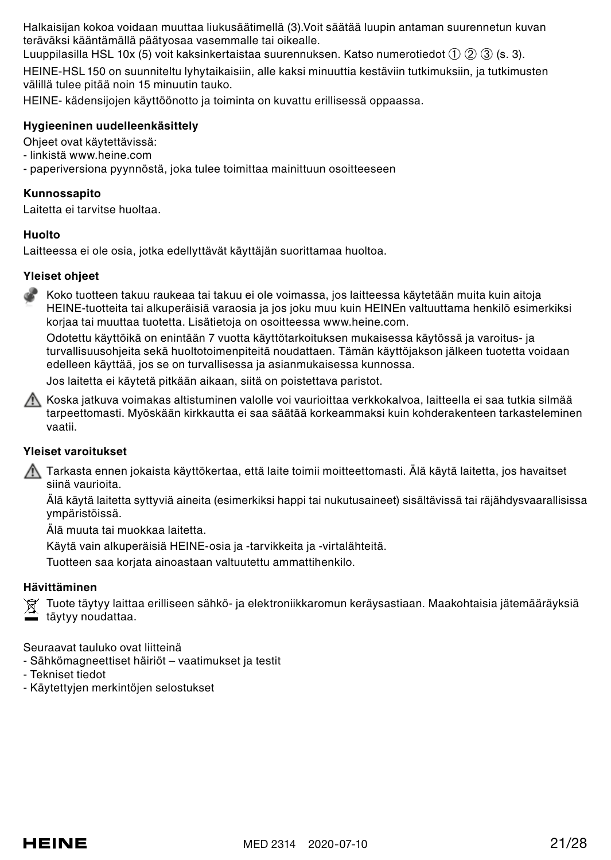Halkaisijan kokoa voidaan muuttaa liukusäätimellä (3).Voit säätää luupin antaman suurennetun kuvan teräväksi kääntämällä päätyosaa vasemmalle tai oikealle.

Luuppilasilla HSL 10x (5) voit kaksinkertaistaa suurennuksen. Katso numerotiedot ➀ ➁ ➂ (s. 3).

HEINE-HSL 150 on suunniteltu lyhytaikaisiin, alle kaksi minuuttia kestäviin tutkimuksiin, ja tutkimusten välillä tulee pitää noin 15 minuutin tauko.

HEINE- kädensijojen käyttöönotto ja toiminta on kuvattu erillisessä oppaassa.

### **Hygieeninen uudelleenkäsittely**

Ohjeet ovat käytettävissä:

- linkistä www.heine.com

- paperiversiona pyynnöstä, joka tulee toimittaa mainittuun osoitteeseen

#### **Kunnossapito**

Laitetta ei tarvitse huoltaa.

#### **Huolto**

Laitteessa ei ole osia, jotka edellyttävät käyttäjän suorittamaa huoltoa.

#### **Yleiset ohjeet**

Koko tuotteen takuu raukeaa tai takuu ei ole voimassa, jos laitteessa käytetään muita kuin aitoja HEINE-tuotteita tai alkuperäisiä varaosia ja jos joku muu kuin HEINEn valtuuttama henkilö esimerkiksi korjaa tai muuttaa tuotetta. Lisätietoja on osoitteessa www.heine.com.

Odotettu käyttöikä on enintään 7 vuotta käyttötarkoituksen mukaisessa käytössä ja varoitus- ja turvallisuusohjeita sekä huoltotoimenpiteitä noudattaen. Tämän käyttöjakson jälkeen tuotetta voidaan edelleen käyttää, jos se on turvallisessa ja asianmukaisessa kunnossa.

Jos laitetta ei käytetä pitkään aikaan, siitä on poistettava paristot.

Koska jatkuva voimakas altistuminen valolle voi vaurioittaa verkkokalvoa, laitteella ei saa tutkia silmää tarpeettomasti. Myöskään kirkkautta ei saa säätää korkeammaksi kuin kohderakenteen tarkasteleminen vaatii.

## **Yleiset varoitukset**

Tarkasta ennen jokaista käyttökertaa, että laite toimii moitteettomasti. Älä käytä laitetta, jos havaitset siinä vaurioita.

Älä käytä laitetta syttyviä aineita (esimerkiksi happi tai nukutusaineet) sisältävissä tai räjähdysvaarallisissa ympäristöissä.

Älä muuta tai muokkaa laitetta.

Käytä vain alkuperäisiä HEINE-osia ja -tarvikkeita ja -virtalähteitä.

Tuotteen saa korjata ainoastaan valtuutettu ammattihenkilo.

## **Hävittäminen**

 $\widehat{\boxtimes}$  Tuote täytyy laittaa erilliseen sähkö- ja elektroniikkaromun keräysastiaan. Maakohtaisia jätemääräyksiä

täytyy noudattaa.

Seuraavat tauluko ovat liitteinä

- Sähkömagneettiset häiriöt vaatimukset ja testit
- Tekniset tiedot
- Käytettyjen merkintöjen selostukset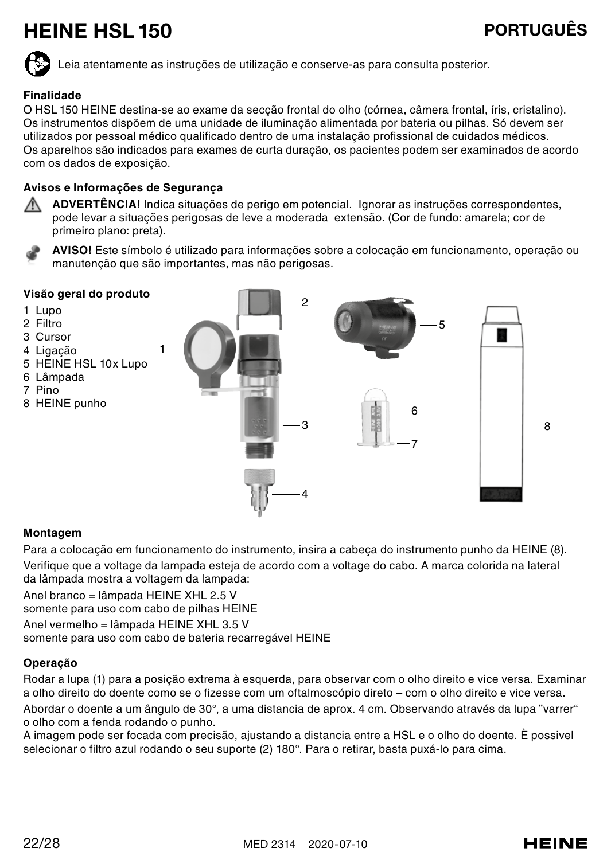## HEINE HSL 150 PORTUGUÊS



Leia atentamente as instruções de utilização e conserve-as para consulta posterior.

## **Finalidade**

O HSL 150 HEINE destina-se ao exame da secção frontal do olho (córnea, câmera frontal, íris, cristalino). Os instrumentos dispõem de uma unidade de iluminação alimentada por bateria ou pilhas. Só devem ser utilizados por pessoal médico qualificado dentro de uma instalação profissional de cuidados médicos. Os aparelhos são indicados para exames de curta duração, os pacientes podem ser examinados de acordo com os dados de exposição.

## **Avisos e Informações de Segurança**

**ADVERTÊNCIA!** Indica situações de perigo em potencial. Ignorar as instruções correspondentes, pode levar a situações perigosas de leve a moderada extensão. (Cor de fundo: amarela; cor de primeiro plano: preta).





## **Montagem**

Para a colocação em funcionamento do instrumento, insira a cabeça do instrumento punho da HEINE (8). Verifique que a voltage da lampada esteja de acordo com a voltage do cabo. A marca colorida na lateral da lâmpada mostra a voltagem da lampada:

Anel branco = lâmpada HEINE XHL 2.5 V

somente para uso com cabo de pilhas HEINE

Anel vermelho = lâmpada HEINE XHL 3.5 V

somente para uso com cabo de bateria recarregável HEINE

## **Operação**

Rodar a lupa (1) para a posição extrema à esquerda, para observar com o olho direito e vice versa. Examinar a olho direito do doente como se o fizesse com um oftalmoscópio direto – com o olho direito e vice versa. Abordar o doente a um ângulo de 30°, a uma distancia de aprox. 4 cm. Observando através da lupa "varrer" o olho com a fenda rodando o punho.

A imagem pode ser focada com precisão, ajustando a distancia entre a HSL e o olho do doente. È possivel selecionar o filtro azul rodando o seu suporte (2) 180°. Para o retirar, basta puxá-lo para cima.

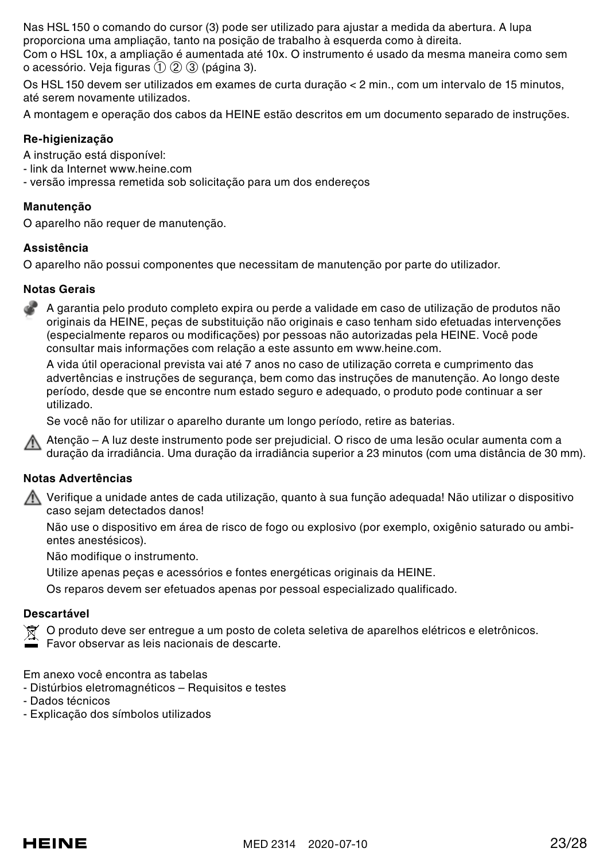Nas HSL 150 o comando do cursor (3) pode ser utilizado para ajustar a medida da abertura. A lupa proporciona uma ampliação, tanto na posição de trabalho à esquerda como à direita. Com o HSL 10x, a ampliação é aumentada até 10x. O instrumento é usado da mesma maneira como sem

o acessório. Veja figuras ➀ ➁ ➂ (página 3).

Os HSL 150 devem ser utilizados em exames de curta duração < 2 min., com um intervalo de 15 minutos, até serem novamente utilizados.

A montagem e operação dos cabos da HEINE estão descritos em um documento separado de instruções.

### **Re-higienização**

A instrução está disponível:

- link da Internet www.heine.com
- versão impressa remetida sob solicitação para um dos endereços

#### **Manutenção**

O aparelho não requer de manutenção.

#### **Assistência**

O aparelho não possui componentes que necessitam de manutenção por parte do utilizador.

#### **Notas Gerais**

A garantia pelo produto completo expira ou perde a validade em caso de utilização de produtos não originais da HEINE, peças de substituição não originais e caso tenham sido efetuadas intervenções (especialmente reparos ou modificações) por pessoas não autorizadas pela HEINE. Você pode consultar mais informações com relação a este assunto em www.heine.com.

A vida útil operacional prevista vai até 7 anos no caso de utilização correta e cumprimento das advertências e instruções de segurança, bem como das instruções de manutenção. Ao longo deste período, desde que se encontre num estado seguro e adequado, o produto pode continuar a ser utilizado.

Se você não for utilizar o aparelho durante um longo período, retire as baterias.

Atenção – A luz deste instrumento pode ser prejudicial. O risco de uma lesão ocular aumenta com a duração da irradiância. Uma duração da irradiância superior a 23 minutos (com uma distância de 30 mm).

### **Notas Advertências**

Verifique a unidade antes de cada utilização, quanto à sua função adequada! Não utilizar o dispositivo caso sejam detectados danos!

Não use o dispositivo em área de risco de fogo ou explosivo (por exemplo, oxigênio saturado ou ambientes anestésicos).

Não modifique o instrumento.

Utilize apenas peças e acessórios e fontes energéticas originais da HEINE.

Os reparos devem ser efetuados apenas por pessoal especializado qualificado.

## **Descartável**

O produto deve ser entregue a um posto de coleta seletiva de aparelhos elétricos e eletrônicos.

Favor observar as leis nacionais de descarte.

Em anexo você encontra as tabelas

- Distúrbios eletromagnéticos Requisitos e testes
- Dados técnicos
- Explicação dos símbolos utilizados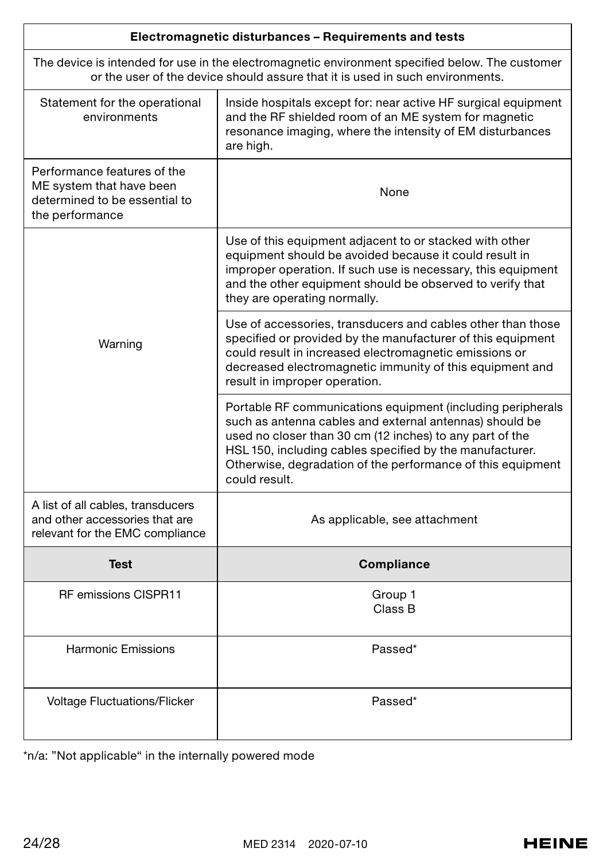| Electromagnetic disturbances - Requirements and tests                                                                                                                            |                                                                                                                                                                                                                                                                                                                                |  |
|----------------------------------------------------------------------------------------------------------------------------------------------------------------------------------|--------------------------------------------------------------------------------------------------------------------------------------------------------------------------------------------------------------------------------------------------------------------------------------------------------------------------------|--|
| The device is intended for use in the electromagnetic environment specified below. The customer<br>or the user of the device should assure that it is used in such environments. |                                                                                                                                                                                                                                                                                                                                |  |
| Statement for the operational<br>environments                                                                                                                                    | Inside hospitals except for: near active HF surgical equipment<br>and the RF shielded room of an ME system for magnetic<br>resonance imaging, where the intensity of EM disturbances<br>are high.                                                                                                                              |  |
| Performance features of the<br>ME system that have been<br>determined to be essential to<br>the performance                                                                      | None                                                                                                                                                                                                                                                                                                                           |  |
| Warning                                                                                                                                                                          | Use of this equipment adjacent to or stacked with other<br>equipment should be avoided because it could result in<br>improper operation. If such use is necessary, this equipment<br>and the other equipment should be observed to verify that<br>they are operating normally.                                                 |  |
|                                                                                                                                                                                  | Use of accessories, transducers and cables other than those<br>specified or provided by the manufacturer of this equipment<br>could result in increased electromagnetic emissions or<br>decreased electromagnetic immunity of this equipment and<br>result in improper operation.                                              |  |
|                                                                                                                                                                                  | Portable RF communications equipment (including peripherals<br>such as antenna cables and external antennas) should be<br>used no closer than 30 cm (12 inches) to any part of the<br>HSL 150, including cables specified by the manufacturer.<br>Otherwise, degradation of the performance of this equipment<br>could result. |  |
| A list of all cables, transducers<br>and other accessories that are<br>relevant for the EMC compliance                                                                           | As applicable, see attachment                                                                                                                                                                                                                                                                                                  |  |
| <b>Test</b>                                                                                                                                                                      | Compliance                                                                                                                                                                                                                                                                                                                     |  |
| RF emissions CISPR11                                                                                                                                                             | Group 1<br>Class B                                                                                                                                                                                                                                                                                                             |  |
| Harmonic Emissions                                                                                                                                                               | Passed*                                                                                                                                                                                                                                                                                                                        |  |
| Voltage Fluctuations/Flicker                                                                                                                                                     | Passed*                                                                                                                                                                                                                                                                                                                        |  |

\*n/a: "Not applicable" in the internally powered mode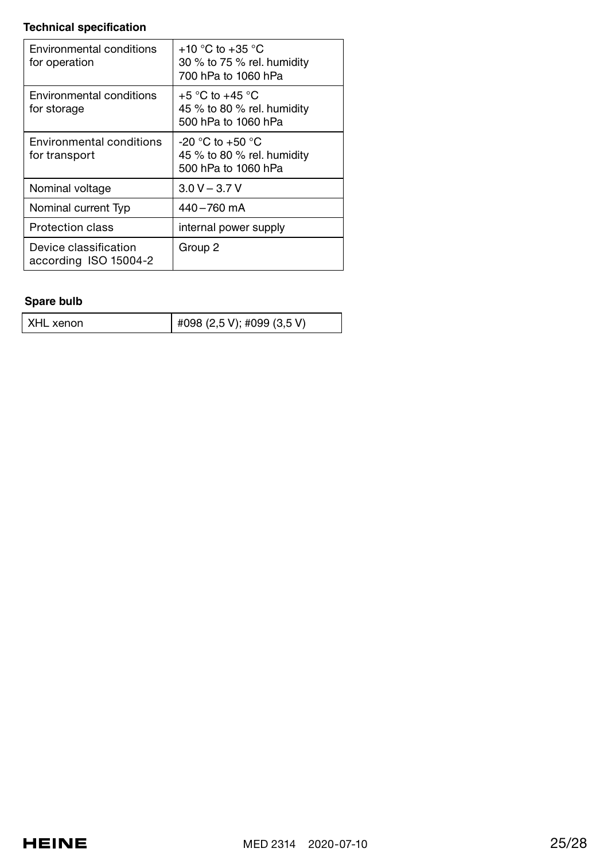## **Technical specification**

| Environmental conditions<br>for operation      | $+10$ °C to $+35$ °C<br>30 % to 75 % rel. humidity<br>700 hPa to 1060 hPa |
|------------------------------------------------|---------------------------------------------------------------------------|
| Environmental conditions<br>for storage        | $+5$ °C to $+45$ °C<br>45 % to 80 % rel. humidity<br>500 hPa to 1060 hPa  |
| Environmental conditions<br>for transport      | $-20$ °C to $+50$ °C<br>45 % to 80 % rel. humidity<br>500 hPa to 1060 hPa |
| Nominal voltage                                | $3.0 V - 3.7 V$                                                           |
| Nominal current Tvp                            | 440-760 mA                                                                |
| Protection class                               | internal power supply                                                     |
| Device classification<br>according ISO 15004-2 | Group 2                                                                   |

## **Spare bulb**

| XHL xenon | #098 (2,5 V); #099 (3,5 V) |
|-----------|----------------------------|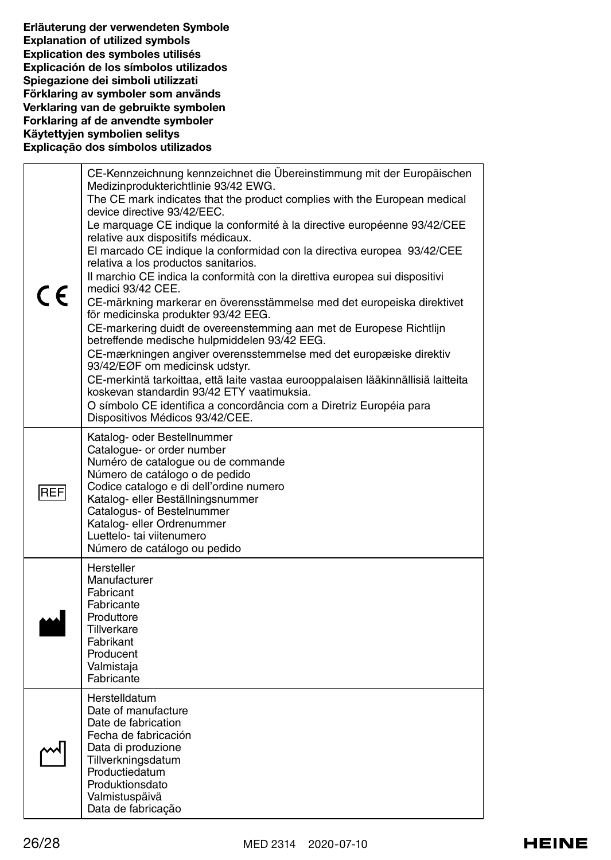Erläuterung der verwendeten Symbole Explanation of utilized symbols Explication des symboles utilisés Explicación de los símbolos utilizados Spiegazione dei simboli utilizzati Förklaring av symboler som används Verklaring van de gebruikte symbolen Forklaring af de anvendte symboler Käytettyjen symbolien selitys Explicação dos símbolos utilizados

| C€         | CE-Kennzeichnung kennzeichnet die Übereinstimmung mit der Europäischen<br>Medizinprodukterichtlinie 93/42 EWG.<br>The CE mark indicates that the product complies with the European medical<br>device directive 93/42/EEC.<br>Le marquage CE indique la conformité à la directive européenne 93/42/CEE<br>relative aux dispositifs médicaux.<br>El marcado CE indique la conformidad con la directiva europea 93/42/CEE<br>relativa a los productos sanitarios.<br>Il marchio CE indica la conformità con la direttiva europea sui dispositivi<br>medici 93/42 CEE.<br>CE-märkning markerar en överensstämmelse med det europeiska direktivet<br>för medicinska produkter 93/42 EEG.<br>CE-markering duidt de overeenstemming aan met de Europese Richtlijn<br>betreffende medische hulpmiddelen 93/42 EEG.<br>CE-mærkningen angiver overensstemmelse med det europæiske direktiv<br>93/42/EØF om medicinsk udstyr.<br>CE-merkintä tarkoittaa, että laite vastaa eurooppalaisen lääkinnällisiä laitteita<br>koskevan standardin 93/42 ETY vaatimuksia.<br>O símbolo CE identifica a concordância com a Diretriz Européia para<br>Dispositivos Médicos 93/42/CEE. |
|------------|------------------------------------------------------------------------------------------------------------------------------------------------------------------------------------------------------------------------------------------------------------------------------------------------------------------------------------------------------------------------------------------------------------------------------------------------------------------------------------------------------------------------------------------------------------------------------------------------------------------------------------------------------------------------------------------------------------------------------------------------------------------------------------------------------------------------------------------------------------------------------------------------------------------------------------------------------------------------------------------------------------------------------------------------------------------------------------------------------------------------------------------------------------------|
| <b>REF</b> | Katalog- oder Bestellnummer<br>Catalogue- or order number<br>Numéro de catalogue ou de commande<br>Número de catálogo o de pedido<br>Codice catalogo e di dell'ordine numero<br>Katalog- eller Beställningsnummer<br>Catalogus- of Bestelnummer<br>Katalog- eller Ordrenummer<br>Luettelo- tai viitenumero<br>Número de catálogo ou pedido                                                                                                                                                                                                                                                                                                                                                                                                                                                                                                                                                                                                                                                                                                                                                                                                                       |
|            | Hersteller<br>Manufacturer<br>Fabricant<br>Fabricante<br>Produttore<br>Tillverkare<br>Fabrikant<br>Producent<br>Valmistaja<br>Fabricante                                                                                                                                                                                                                                                                                                                                                                                                                                                                                                                                                                                                                                                                                                                                                                                                                                                                                                                                                                                                                         |
|            | Herstelldatum<br>Date of manufacture<br>Date de fabrication<br>Fecha de fabricación<br>Data di produzione<br>Tillverkningsdatum<br>Productiedatum<br>Produktionsdato<br>Valmistuspäivä<br>Data de fabricação                                                                                                                                                                                                                                                                                                                                                                                                                                                                                                                                                                                                                                                                                                                                                                                                                                                                                                                                                     |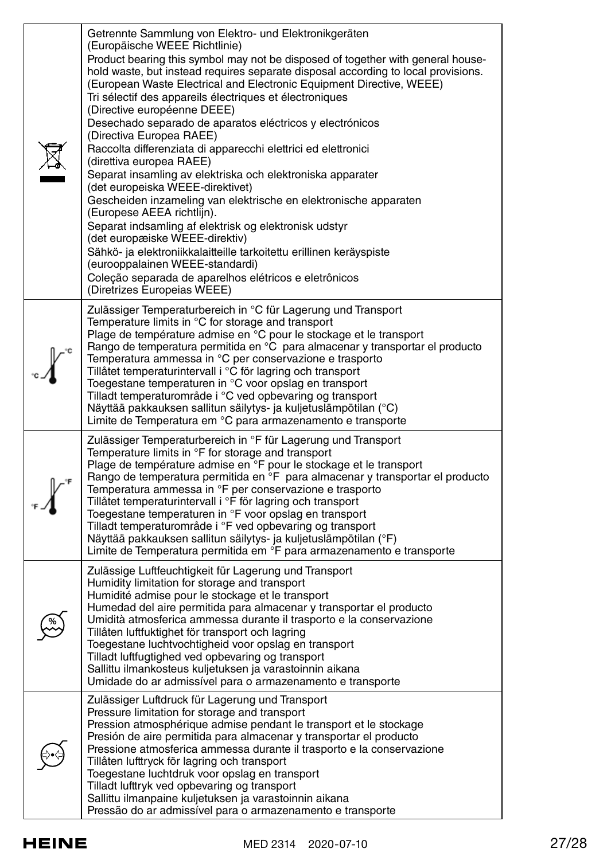| Getrennte Sammlung von Elektro- und Elektronikgeräten<br>(Europäische WEEE Richtlinie)<br>Product bearing this symbol may not be disposed of together with general house-<br>hold waste, but instead requires separate disposal according to local provisions.<br>(European Waste Electrical and Electronic Equipment Directive, WEEE)<br>Tri sélectif des appareils électriques et électroniques<br>(Directive européenne DEEE)<br>Desechado separado de aparatos eléctricos y electrónicos<br>(Directiva Europea RAEE)<br>Raccolta differenziata di apparecchi elettrici ed elettronici<br>(direttiva europea RAEE)<br>Separat insamling av elektriska och elektroniska apparater<br>(det europeiska WEEE-direktivet)<br>Gescheiden inzameling van elektrische en elektronische apparaten<br>(Europese AEEA richtlijn).<br>Separat indsamling af elektrisk og elektronisk udstyr<br>(det europæiske WEEE-direktiv)<br>Sähkö- ja elektroniikkalaitteille tarkoitettu erillinen keräyspiste<br>(eurooppalainen WEEE-standardi)<br>Coleção separada de aparelhos elétricos e eletrônicos<br>(Diretrizes Europeias WEEE) |
|------------------------------------------------------------------------------------------------------------------------------------------------------------------------------------------------------------------------------------------------------------------------------------------------------------------------------------------------------------------------------------------------------------------------------------------------------------------------------------------------------------------------------------------------------------------------------------------------------------------------------------------------------------------------------------------------------------------------------------------------------------------------------------------------------------------------------------------------------------------------------------------------------------------------------------------------------------------------------------------------------------------------------------------------------------------------------------------------------------------------|
| Zulässiger Temperaturbereich in °C für Lagerung und Transport<br>Temperature limits in °C for storage and transport<br>Plage de température admise en °C pour le stockage et le transport<br>Rango de temperatura permitida en °C para almacenar y transportar el producto<br>Temperatura ammessa in °C per conservazione e trasporto<br>Tillåtet temperaturintervall i °C för lagring och transport<br>Toegestane temperaturen in °C voor opslag en transport<br>Tilladt temperaturområde i °C ved opbevaring og transport<br>Näyttää pakkauksen sallitun säilytys- ja kuljetuslämpötilan (°C)<br>Limite de Temperatura em °C para armazenamento e transporte                                                                                                                                                                                                                                                                                                                                                                                                                                                         |
| Zulässiger Temperaturbereich in °F für Lagerung und Transport<br>Temperature limits in °F for storage and transport<br>Plage de température admise en °F pour le stockage et le transport<br>Rango de temperatura permitida en °F para almacenar y transportar el producto<br>Temperatura ammessa in °F per conservazione e trasporto<br>Tillåtet temperaturintervall i °F för lagring och transport<br>Toegestane temperaturen in °F voor opslag en transport<br>Tilladt temperaturområde i °F ved opbevaring og transport<br>Näyttää pakkauksen sallitun säilytys- ja kuljetuslämpötilan (°F)<br>Limite de Temperatura permitida em °F para armazenamento e transporte                                                                                                                                                                                                                                                                                                                                                                                                                                               |
| Zulässige Luftfeuchtigkeit für Lagerung und Transport<br>Humidity limitation for storage and transport<br>Humidité admise pour le stockage et le transport<br>Humedad del aire permitida para almacenar y transportar el producto<br>Umidità atmosferica ammessa durante il trasporto e la conservazione<br>Tillåten luftfuktighet för transport och lagring<br>Toegestane luchtvochtigheid voor opslag en transport<br>Tilladt luftfugtighed ved opbevaring og transport<br>Sallittu ilmankosteus kuljetuksen ja varastoinnin aikana<br>Umidade do ar admissível para o armazenamento e transporte                                                                                                                                                                                                                                                                                                                                                                                                                                                                                                                    |
| Zulässiger Luftdruck für Lagerung und Transport<br>Pressure limitation for storage and transport<br>Pression atmosphérique admise pendant le transport et le stockage<br>Presión de aire permitida para almacenar y transportar el producto<br>Pressione atmosferica ammessa durante il trasporto e la conservazione<br>Tillåten lufttryck för lagring och transport<br>Toegestane luchtdruk voor opslag en transport<br>Tilladt lufttryk ved opbevaring og transport<br>Sallittu ilmanpaine kuljetuksen ja varastoinnin aikana<br>Pressão do ar admissível para o armazenamento e transporte                                                                                                                                                                                                                                                                                                                                                                                                                                                                                                                          |